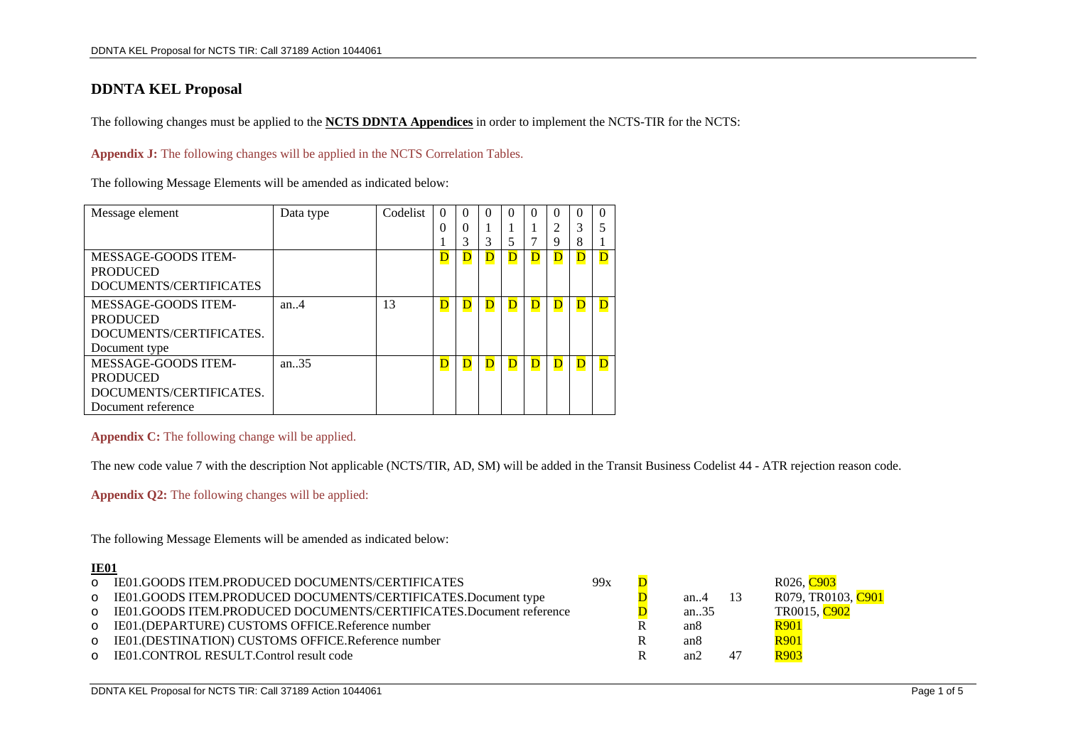## **DDNTA KEL Proposal**

The following changes must be applied to the **NCTS DDNTA Appendices** in order to implement the NCTS-TIR for the NCTS:

### **Appendix J:** The following changes will be applied in the NCTS Correlation Tables.

The following Message Elements will be amended as indicated below:

| Message element            | Data type         | Codelist | $\Omega$                | $\Omega$     | 0       | $\Omega$ | 0           | 0 | $\Omega$    | $\Omega$ |
|----------------------------|-------------------|----------|-------------------------|--------------|---------|----------|-------------|---|-------------|----------|
|                            |                   |          | $\Omega$                | $\Omega$     |         |          |             | 2 | 3           | 5        |
|                            |                   |          |                         | 3            | 3       |          |             | 9 | 8           |          |
| <b>MESSAGE-GOODS ITEM-</b> |                   |          | $\overline{\mathbf{D}}$ | D            | $\bf D$ | D        | D           | D | $\bf D$     | D        |
| <b>PRODUCED</b>            |                   |          |                         |              |         |          |             |   |             |          |
| DOCUMENTS/CERTIFICATES     |                   |          |                         |              |         |          |             |   |             |          |
| MESSAGE-GOODS ITEM-        | an. $\mathcal{A}$ | 13       | D                       | D            | D       | D        | D           | D | D           | D        |
| <b>PRODUCED</b>            |                   |          |                         |              |         |          |             |   |             |          |
| DOCUMENTS/CERTIFICATES.    |                   |          |                         |              |         |          |             |   |             |          |
| Document type              |                   |          |                         |              |         |          |             |   |             |          |
| MESSAGE-GOODS ITEM-        | an $.35$          |          | $\overline{\mathbf{D}}$ | $\mathbf{D}$ | D       | D        | $\mathbf D$ | D | $\mathbf D$ | D        |
| <b>PRODUCED</b>            |                   |          |                         |              |         |          |             |   |             |          |
| DOCUMENTS/CERTIFICATES.    |                   |          |                         |              |         |          |             |   |             |          |
| Document reference         |                   |          |                         |              |         |          |             |   |             |          |

## **Appendix C:** The following change will be applied.

The new code value 7 with the description Not applicable (NCTS/TIR, AD, SM) will be added in the Transit Business Codelist 44 - ATR rejection reason code.

**Appendix Q2:** The following changes will be applied:

The following Message Elements will be amended as indicated below:

#### **IE01**

| o IE01.GOODS ITEM.PRODUCED DOCUMENTS/CERTIFICATES                    | 99x |                 |    | R026. C903         |
|----------------------------------------------------------------------|-----|-----------------|----|--------------------|
| o IE01.GOODS ITEM.PRODUCED DOCUMENTS/CERTIFICATES.Document type      |     | an $4$          | 13 | R079, TR0103, C901 |
| o IE01.GOODS ITEM.PRODUCED DOCUMENTS/CERTIFICATES.Document reference |     | an35            |    | TR0015, C902       |
| o IE01.(DEPARTURE) CUSTOMS OFFICE.Reference number                   |     | an <sub>8</sub> |    | <b>R901</b>        |
| o IE01.(DESTINATION) CUSTOMS OFFICE.Reference number                 |     | an <sub>8</sub> |    | <b>R901</b>        |
| o IE01.CONTROL RESULT.Control result code                            |     | an2             | 47 | R903               |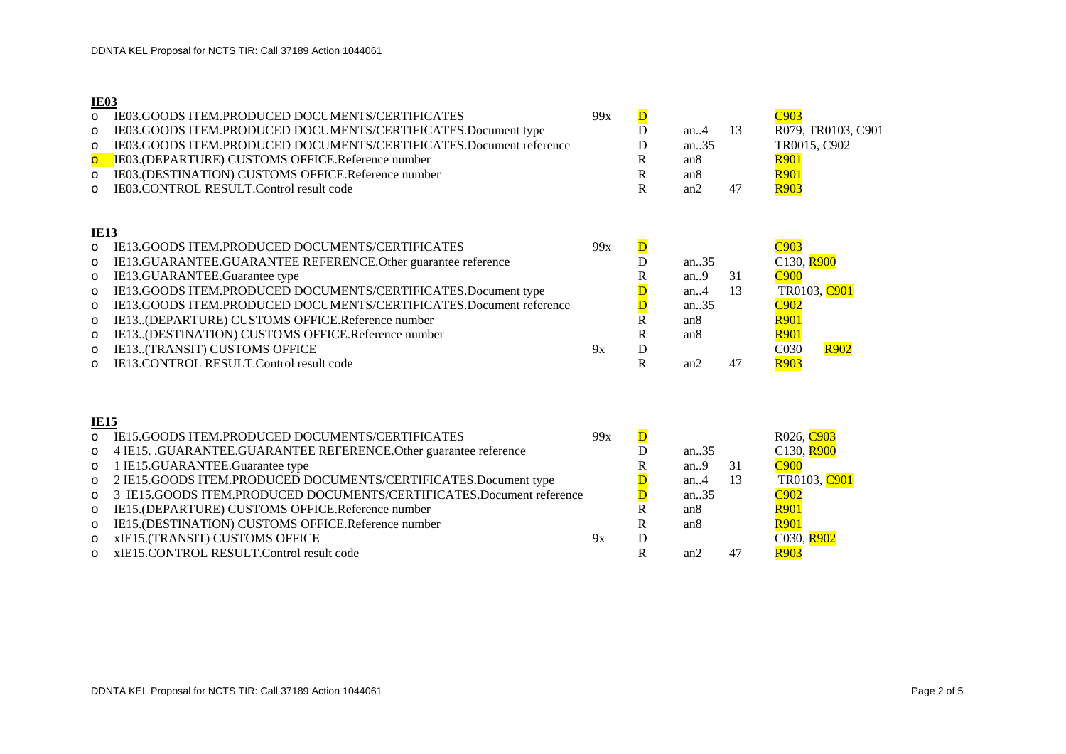### **IE03**

| $\circ$<br>$\circ$<br>$\circ$<br>$\overline{O}$<br>$\circ$<br>$\circ$ | IE03.GOODS ITEM.PRODUCED DOCUMENTS/CERTIFICATES<br>IE03.GOODS ITEM.PRODUCED DOCUMENTS/CERTIFICATES.Document type<br>IE03.GOODS ITEM.PRODUCED DOCUMENTS/CERTIFICATES.Document reference<br>IE03.(DEPARTURE) CUSTOMS OFFICE.Reference number<br>IE03.(DESTINATION) CUSTOMS OFFICE.Reference number<br>IE03.CONTROL RESULT.Control result code | 99x | $\overline{\mathbf{D}}$<br>D<br>D<br>$\mathbb{R}$<br>$\mathbf R$<br>$\mathbf R$ | an.4<br>an35<br>an <sub>8</sub><br>an8<br>an2 | 13<br>47 | C903<br>R079, TR0103, C901<br>TR0015, C902<br><b>R901</b><br><b>R901</b><br><b>R903</b> |
|-----------------------------------------------------------------------|---------------------------------------------------------------------------------------------------------------------------------------------------------------------------------------------------------------------------------------------------------------------------------------------------------------------------------------------|-----|---------------------------------------------------------------------------------|-----------------------------------------------|----------|-----------------------------------------------------------------------------------------|
| <b>IE13</b>                                                           |                                                                                                                                                                                                                                                                                                                                             |     |                                                                                 |                                               |          |                                                                                         |
| $\circ$                                                               | IE13.GOODS ITEM.PRODUCED DOCUMENTS/CERTIFICATES                                                                                                                                                                                                                                                                                             | 99x | $\overline{\mathbf{D}}$                                                         |                                               |          | C <sub>903</sub>                                                                        |
| $\circ$                                                               | IE13.GUARANTEE.GUARANTEE REFERENCE.Other guarantee reference                                                                                                                                                                                                                                                                                |     | D                                                                               | an35                                          |          | C130, R900                                                                              |
| $\circ$                                                               | IE13.GUARANTEE.Guarantee type                                                                                                                                                                                                                                                                                                               |     | $\mathbf R$                                                                     | an.9                                          | 31       | <b>C900</b>                                                                             |
| $\circ$                                                               | IE13.GOODS ITEM.PRODUCED DOCUMENTS/CERTIFICATES.Document type<br>IE13.GOODS ITEM.PRODUCED DOCUMENTS/CERTIFICATES.Document reference                                                                                                                                                                                                         |     | D                                                                               | an.4<br>an.35                                 | 13       | TR0103, C901<br>C <sub>902</sub>                                                        |
| $\circ$                                                               | IE13(DEPARTURE) CUSTOMS OFFICE.Reference number                                                                                                                                                                                                                                                                                             |     | $\bf D$<br>$\mathbf R$                                                          | an <sub>8</sub>                               |          | <b>R901</b>                                                                             |
| $\circ$<br>$\circ$                                                    | IE13(DESTINATION) CUSTOMS OFFICE.Reference number                                                                                                                                                                                                                                                                                           |     | $\mathbf R$                                                                     | an8                                           |          | <b>R901</b>                                                                             |
| $\circ$                                                               | IE13(TRANSIT) CUSTOMS OFFICE                                                                                                                                                                                                                                                                                                                | 9x  | $\mathbf D$                                                                     |                                               |          | <b>R902</b><br>C030                                                                     |
| $\circ$                                                               | IE13.CONTROL RESULT.Control result code                                                                                                                                                                                                                                                                                                     |     | $\mathbf R$                                                                     | an2                                           | 47       | <b>R903</b>                                                                             |
|                                                                       |                                                                                                                                                                                                                                                                                                                                             |     |                                                                                 |                                               |          |                                                                                         |
| <b>IE15</b>                                                           |                                                                                                                                                                                                                                                                                                                                             |     |                                                                                 |                                               |          |                                                                                         |
| $\Omega$                                                              | IE15.GOODS ITEM.PRODUCED DOCUMENTS/CERTIFICATES                                                                                                                                                                                                                                                                                             | 99x | $\overline{\mathbf{D}}$                                                         |                                               |          | R026, C903                                                                              |
| $\circ$                                                               | 4 IE15. .GUARANTEE.GUARANTEE REFERENCE.Other guarantee reference                                                                                                                                                                                                                                                                            |     | D                                                                               | an35                                          |          | C130, R900                                                                              |
| $\circ$                                                               | 1 IE15.GUARANTEE.Guarantee type                                                                                                                                                                                                                                                                                                             |     | R                                                                               | an.9                                          | 31       | C900                                                                                    |
| $\circ$                                                               | 2 IE15.GOODS ITEM.PRODUCED DOCUMENTS/CERTIFICATES.Document type                                                                                                                                                                                                                                                                             |     |                                                                                 | an.4                                          | 13       | TR0103, C901                                                                            |
| $\circ$                                                               | 3 IE15.GOODS ITEM.PRODUCED DOCUMENTS/CERTIFICATES.Document reference                                                                                                                                                                                                                                                                        |     | $\overline{\mathsf{D}}$                                                         | an35                                          |          | C <sub>902</sub>                                                                        |
| $\circ$                                                               | IE15.(DEPARTURE) CUSTOMS OFFICE.Reference number                                                                                                                                                                                                                                                                                            |     | $\overline{R}$                                                                  | an <sub>8</sub>                               |          | <b>R901</b>                                                                             |
| $\circ$                                                               | IE15.(DESTINATION) CUSTOMS OFFICE.Reference number                                                                                                                                                                                                                                                                                          |     | $\mathbf R$                                                                     | an8                                           |          | <b>R901</b>                                                                             |
| $\circ$                                                               | xIE15.(TRANSIT) CUSTOMS OFFICE                                                                                                                                                                                                                                                                                                              | 9x  | $\mathbf D$                                                                     |                                               |          | C030, R902                                                                              |
| $\circ$                                                               | xIE15.CONTROL RESULT.Control result code                                                                                                                                                                                                                                                                                                    |     | $\mathbf R$                                                                     | an2                                           | 47       | <b>R903</b>                                                                             |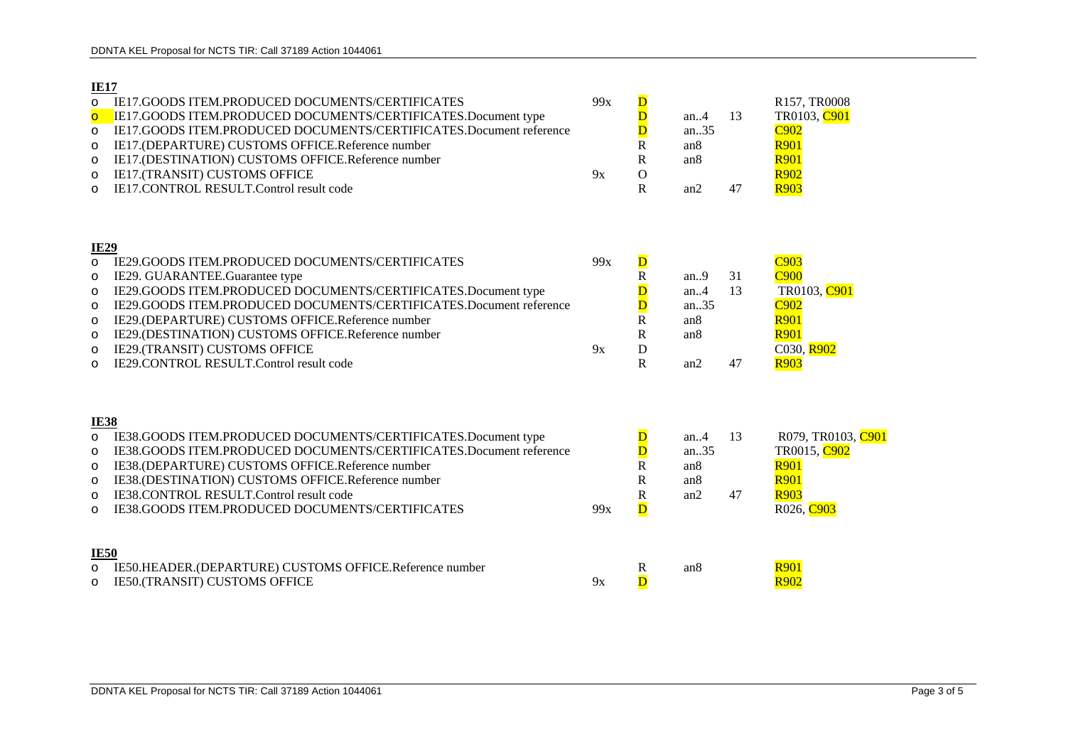# **IE17**

|                                                                                  | IEI/                                                                                                                                                                                                                                                                                                                                                                                |           |                                                                                                                    |                                                           |          |                                                                                                  |
|----------------------------------------------------------------------------------|-------------------------------------------------------------------------------------------------------------------------------------------------------------------------------------------------------------------------------------------------------------------------------------------------------------------------------------------------------------------------------------|-----------|--------------------------------------------------------------------------------------------------------------------|-----------------------------------------------------------|----------|--------------------------------------------------------------------------------------------------|
| $\circ$<br>$\overline{O}$<br>$\circ$<br>$\circ$<br>$\circ$<br>$\circ$<br>$\circ$ | <b>IE17.GOODS ITEM.PRODUCED DOCUMENTS/CERTIFICATES</b><br>IE17.GOODS ITEM.PRODUCED DOCUMENTS/CERTIFICATES.Document type<br>IE17.GOODS ITEM.PRODUCED DOCUMENTS/CERTIFICATES.Document reference<br>IE17.(DEPARTURE) CUSTOMS OFFICE.Reference number<br>IE17.(DESTINATION) CUSTOMS OFFICE.Reference number<br>IE17.(TRANSIT) CUSTOMS OFFICE<br>IE17.CONTROL RESULT.Control result code | 99x<br>9x | $\overline{\mathsf{D}}$<br>$\overline{\mathsf{D}}$<br>$\mathbf D$<br>R<br>${\bf R}$<br>$\mathbf{O}$<br>$\mathbf R$ | an.4<br>an35<br>an <sub>8</sub><br>an <sub>8</sub><br>an2 | 13<br>47 | R157, TR0008<br>TR0103, C901<br>C902<br><b>R901</b><br><b>R901</b><br><b>R902</b><br><b>R903</b> |
|                                                                                  | <b>IE29</b>                                                                                                                                                                                                                                                                                                                                                                         |           |                                                                                                                    |                                                           |          |                                                                                                  |
| $\Omega$                                                                         | IE29.GOODS ITEM.PRODUCED DOCUMENTS/CERTIFICATES                                                                                                                                                                                                                                                                                                                                     | 99x       | $\overline{\mathbf{D}}$                                                                                            |                                                           |          | C <sub>903</sub>                                                                                 |
| $\circ$                                                                          | IE29. GUARANTEE. Guarantee type                                                                                                                                                                                                                                                                                                                                                     |           | $\mathbf R$                                                                                                        | an.9                                                      | 31       | <b>C900</b>                                                                                      |
| $\circ$                                                                          | IE29.GOODS ITEM.PRODUCED DOCUMENTS/CERTIFICATES.Document type                                                                                                                                                                                                                                                                                                                       |           | $\overline{\mathsf{D}}$                                                                                            | an.4                                                      | 13       | TR0103, C901                                                                                     |
| $\circ$                                                                          | IE29.GOODS ITEM.PRODUCED DOCUMENTS/CERTIFICATES.Document reference                                                                                                                                                                                                                                                                                                                  |           | $\overline{\mathbf{D}}$                                                                                            | an35                                                      |          | C <sub>902</sub>                                                                                 |
| $\circ$                                                                          | IE29.(DEPARTURE) CUSTOMS OFFICE.Reference number                                                                                                                                                                                                                                                                                                                                    |           | $\overline{\text{R}}$                                                                                              | an <sub>8</sub>                                           |          | <b>R901</b>                                                                                      |
| $\circ$                                                                          | IE29.(DESTINATION) CUSTOMS OFFICE.Reference number                                                                                                                                                                                                                                                                                                                                  |           | ${\bf R}$                                                                                                          | an <sub>8</sub>                                           |          | <b>R901</b>                                                                                      |
| $\circ$                                                                          | IE29.(TRANSIT) CUSTOMS OFFICE<br>IE29.CONTROL RESULT.Control result code                                                                                                                                                                                                                                                                                                            | 9x        | ${\bf D}$<br>$\mathbf{R}$                                                                                          | an2                                                       | 47       | C030, R902<br><b>R903</b>                                                                        |
| $\Omega$                                                                         |                                                                                                                                                                                                                                                                                                                                                                                     |           |                                                                                                                    |                                                           |          |                                                                                                  |
| $\circ$                                                                          | <b>IE38</b><br>IE38.GOODS ITEM.PRODUCED DOCUMENTS/CERTIFICATES.Document type                                                                                                                                                                                                                                                                                                        |           | $\overline{\mathsf{D}}$                                                                                            | an.4                                                      | 13       | R079, TR0103, C901                                                                               |
| $\circ$                                                                          | IE38.GOODS ITEM.PRODUCED DOCUMENTS/CERTIFICATES.Document reference                                                                                                                                                                                                                                                                                                                  |           | $\overline{\mathbf{D}}$                                                                                            | an35                                                      |          | TR0015, C902                                                                                     |
| $\circ$                                                                          | IE38.(DEPARTURE) CUSTOMS OFFICE.Reference number                                                                                                                                                                                                                                                                                                                                    |           | R                                                                                                                  | an <sub>8</sub>                                           |          | <b>R901</b>                                                                                      |
| $\circ$                                                                          | IE38.(DESTINATION) CUSTOMS OFFICE.Reference number                                                                                                                                                                                                                                                                                                                                  |           | $\mathbf R$                                                                                                        | an8                                                       |          | <b>R901</b>                                                                                      |
| $\circ$                                                                          | IE38.CONTROL RESULT.Control result code                                                                                                                                                                                                                                                                                                                                             |           | ${\bf R}$                                                                                                          | an2                                                       | 47       | <b>R903</b>                                                                                      |
| $\circ$                                                                          | IE38.GOODS ITEM.PRODUCED DOCUMENTS/CERTIFICATES                                                                                                                                                                                                                                                                                                                                     | 99x       | $\overline{\mathbf{D}}$                                                                                            |                                                           |          | R026, C903                                                                                       |
|                                                                                  | <b>IE50</b>                                                                                                                                                                                                                                                                                                                                                                         |           |                                                                                                                    |                                                           |          |                                                                                                  |
| $\circ$                                                                          | IE50.HEADER.(DEPARTURE) CUSTOMS OFFICE.Reference number                                                                                                                                                                                                                                                                                                                             |           | $\mathbb{R}$                                                                                                       | an <sub>8</sub>                                           |          | <b>R901</b>                                                                                      |

o IE50.(TRANSIT) CUSTOMS OFFICE  $9x$  D  $\overline{D}$  R902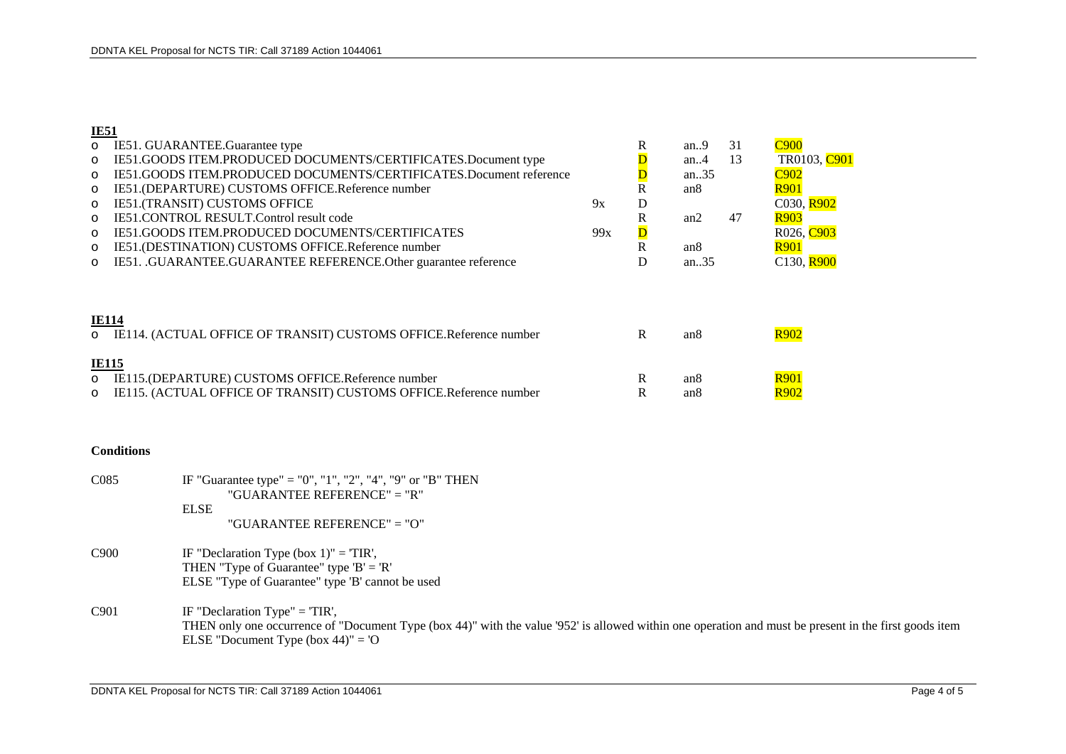## **IE51**

| $\circ$ | IE51. GUARANTEE. Guarantee type                                    |     | R                       | an.9            | 31 | C <sub>900</sub>       |
|---------|--------------------------------------------------------------------|-----|-------------------------|-----------------|----|------------------------|
| $\circ$ | IE51.GOODS ITEM.PRODUCED DOCUMENTS/CERTIFICATES.Document type      |     |                         | an $4$          | 13 | TR0103, C901           |
| $\circ$ | IE51.GOODS ITEM.PRODUCED DOCUMENTS/CERTIFICATES.Document reference |     |                         | an. $.35$       |    | C <sub>902</sub>       |
| $\circ$ | IE51.(DEPARTURE) CUSTOMS OFFICE.Reference number                   |     | R                       | an <sub>8</sub> |    | <b>R901</b>            |
| $\circ$ | IE51.(TRANSIT) CUSTOMS OFFICE                                      | 9x  | D                       |                 |    | C030. R902             |
| $\circ$ | IE51.CONTROL RESULT.Control result code                            |     | R                       | an2             | 47 | <b>R903</b>            |
| $\circ$ | <b>IE51.GOODS ITEM.PRODUCED DOCUMENTS/CERTIFICATES</b>             | 99x | $\overline{\mathbf{D}}$ |                 |    | R026, C <sub>903</sub> |
| $\circ$ | IE51.(DESTINATION) CUSTOMS OFFICE.Reference number                 |     | R                       | an8             |    | <b>R901</b>            |
| $\circ$ | IE51. .GUARANTEE.GUARANTEE REFERENCE.Other guarantee reference     |     | D                       | an.35           |    | C130, R900             |
|         |                                                                    |     |                         |                 |    |                        |
|         | <b>IE114</b>                                                       |     |                         |                 |    |                        |
| $\circ$ | IE114. (ACTUAL OFFICE OF TRANSIT) CUSTOMS OFFICE.Reference number  |     | R                       | an <sub>8</sub> |    | <b>R902</b>            |
|         | <b>IE115</b>                                                       |     |                         |                 |    |                        |
| $\circ$ | IE115.(DEPARTURE) CUSTOMS OFFICE.Reference number                  |     | R                       | an8             |    | <b>R901</b>            |
| $\circ$ | IE115. (ACTUAL OFFICE OF TRANSIT) CUSTOMS OFFICE.Reference number  |     | R                       | an8             |    | R <sub>902</sub>       |

#### **Conditions**

| C085 | IF "Guarantee type" = "0", "1", "2", "4", "9" or "B" THEN |
|------|-----------------------------------------------------------|
|      | "GUARANTEE REFERENCE" = "R"                               |
|      | EL SE                                                     |
|      | "GUARANTEE REFERENCE" = "O"                               |

- C900 IF "Declaration Type  $(box 1)$ " = 'TIR', THEN "Type of Guarantee" type  $B' = R'$ ELSE "Type of Guarantee" type 'B' cannot be used
- C901 IF "Declaration Type" = 'TIR', THEN only one occurrence of "Document Type (box 44)" with the value '952' is allowed within one operation and must be present in the first goods item ELSE "Document Type (box 44)" = 'O